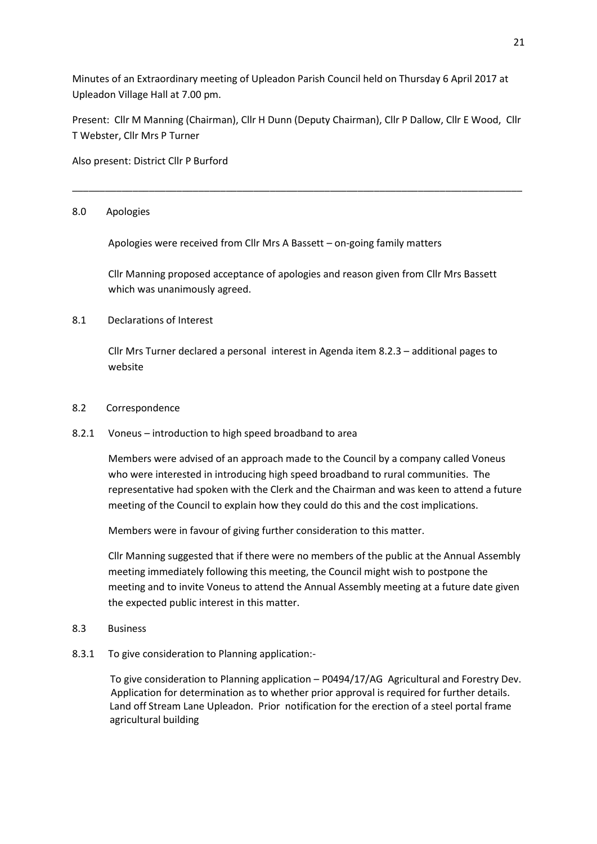Minutes of an Extraordinary meeting of Upleadon Parish Council held on Thursday 6 April 2017 at Upleadon Village Hall at 7.00 pm.

Present: Cllr M Manning (Chairman), Cllr H Dunn (Deputy Chairman), Cllr P Dallow, Cllr E Wood, Cllr T Webster, Cllr Mrs P Turner

\_\_\_\_\_\_\_\_\_\_\_\_\_\_\_\_\_\_\_\_\_\_\_\_\_\_\_\_\_\_\_\_\_\_\_\_\_\_\_\_\_\_\_\_\_\_\_\_\_\_\_\_\_\_\_\_\_\_\_\_\_\_\_\_\_\_\_\_\_\_\_\_\_\_\_\_\_\_\_\_\_\_

Also present: District Cllr P Burford

## 8.0 Apologies

Apologies were received from Cllr Mrs A Bassett – on-going family matters

Cllr Manning proposed acceptance of apologies and reason given from Cllr Mrs Bassett which was unanimously agreed.

## 8.1 Declarations of Interest

Cllr Mrs Turner declared a personal interest in Agenda item 8.2.3 – additional pages to website

#### 8.2 Correspondence

8.2.1 Voneus – introduction to high speed broadband to area

Members were advised of an approach made to the Council by a company called Voneus who were interested in introducing high speed broadband to rural communities. The representative had spoken with the Clerk and the Chairman and was keen to attend a future meeting of the Council to explain how they could do this and the cost implications.

Members were in favour of giving further consideration to this matter.

Cllr Manning suggested that if there were no members of the public at the Annual Assembly meeting immediately following this meeting, the Council might wish to postpone the meeting and to invite Voneus to attend the Annual Assembly meeting at a future date given the expected public interest in this matter.

- 8.3 Business
- 8.3.1 To give consideration to Planning application:-

 To give consideration to Planning application – P0494/17/AG Agricultural and Forestry Dev. Application for determination as to whether prior approval is required for further details. Land off Stream Lane Upleadon. Prior notification for the erection of a steel portal frame agricultural building